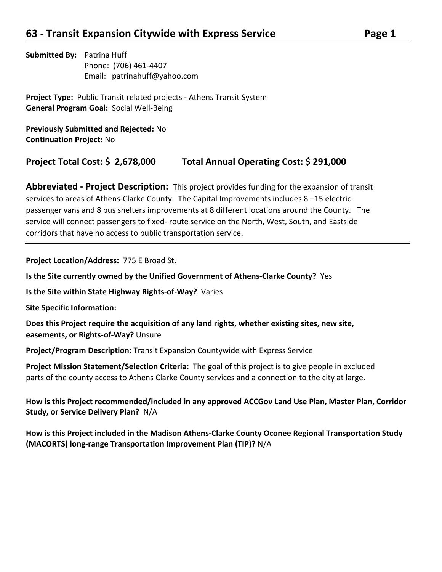**Submitted By:** Patrina Huff Phone: (706) 461-4407 Email: patrinahuff@yahoo.com

**Project Type:** Public Transit related projects - Athens Transit System **General Program Goal:** Social Well-Being

**Previously Submitted and Rejected:** No **Continuation Project:** No

## **Project Total Cost: \$ 2,678,000 Total Annual Operating Cost: \$ 291,000**

**Abbreviated - Project Description:** This project provides funding for the expansion of transit services to areas of Athens-Clarke County. The Capital Improvements includes 8 –15 electric passenger vans and 8 bus shelters improvements at 8 different locations around the County. The service will connect passengers to fixed- route service on the North, West, South, and Eastside corridors that have no access to public transportation service.

**Project Location/Address:** 775 E Broad St.

**Is the Site currently owned by the Unified Government of Athens-Clarke County?** Yes

**Is the Site within State Highway Rights-of-Way?** Varies

**Site Specific Information:** 

**Does this Project require the acquisition of any land rights, whether existing sites, new site, easements, or Rights-of-Way?** Unsure

**Project/Program Description:** Transit Expansion Countywide with Express Service

**Project Mission Statement/Selection Criteria:** The goal of this project is to give people in excluded parts of the county access to Athens Clarke County services and a connection to the city at large.

**How is this Project recommended/included in any approved ACCGov Land Use Plan, Master Plan, Corridor Study, or Service Delivery Plan?** N/A

**How is this Project included in the Madison Athens-Clarke County Oconee Regional Transportation Study (MACORTS) long-range Transportation Improvement Plan (TIP)?** N/A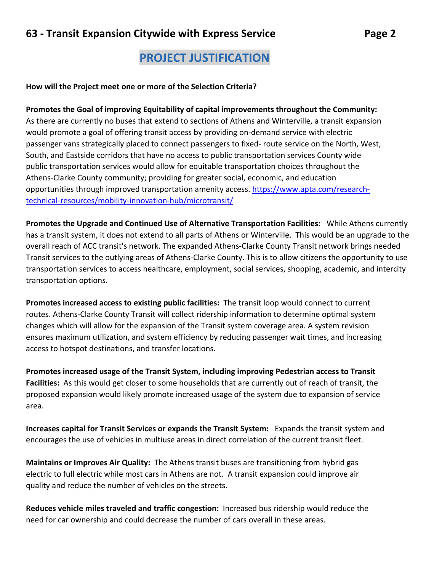## **PROJECT JUSTIFICATION**

#### **How will the Project meet one or more of the Selection Criteria?**

**Promotes the Goal of improving Equitability of capital improvements throughout the Community:**  As there are currently no buses that extend to sections of Athens and Winterville, a transit expansion would promote a goal of offering transit access by providing on-demand service with electric passenger vans strategically placed to connect passengers to fixed- route service on the North, West, South, and Eastside corridors that have no access to public transportation services County wide public transportation services would allow for equitable transportation choices throughout the Athens-Clarke County community; providing for greater social, economic, and education opportunities through improved transportation amenity access. [https://www.apta.com/research](https://www.apta.com/research-technical-resources/mobility-innovation-hub/microtransit/)[technical-resources/mobility-innovation-hub/microtransit/](https://www.apta.com/research-technical-resources/mobility-innovation-hub/microtransit/)

**Promotes the Upgrade and Continued Use of Alternative Transportation Facilities:** While Athens currently has a transit system, it does not extend to all parts of Athens or Winterville. This would be an upgrade to the overall reach of ACC transit's network. The expanded Athens-Clarke County Transit network brings needed Transit services to the outlying areas of Athens-Clarke County. This is to allow citizens the opportunity to use transportation services to access healthcare, employment, social services, shopping, academic, and intercity transportation options.

**Promotes increased access to existing public facilities:** The transit loop would connect to current routes. Athens-Clarke County Transit will collect ridership information to determine optimal system changes which will allow for the expansion of the Transit system coverage area. A system revision ensures maximum utilization, and system efficiency by reducing passenger wait times, and increasing access to hotspot destinations, and transfer locations.

**Promotes increased usage of the Transit System, including improving Pedestrian access to Transit Facilities:** As this would get closer to some households that are currently out of reach of transit, the proposed expansion would likely promote increased usage of the system due to expansion of service area.

**Increases capital for Transit Services or expands the Transit System:** Expands the transit system and encourages the use of vehicles in multiuse areas in direct correlation of the current transit fleet.

**Maintains or Improves Air Quality:** The Athens transit buses are transitioning from hybrid gas electric to full electric while most cars in Athens are not. A transit expansion could improve air quality and reduce the number of vehicles on the streets.

**Reduces vehicle miles traveled and traffic congestion:** Increased bus ridership would reduce the need for car ownership and could decrease the number of cars overall in these areas.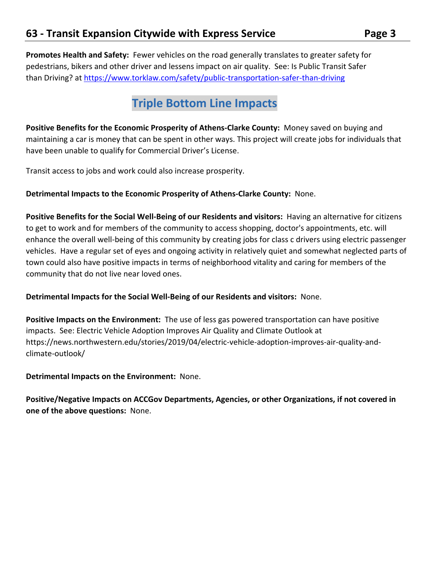**Promotes Health and Safety:** Fewer vehicles on the road generally translates to greater safety for pedestrians, bikers and other driver and lessens impact on air quality. See: Is Public Transit Safer than Driving? at<https://www.torklaw.com/safety/public-transportation-safer-than-driving>

## **Triple Bottom Line Impacts**

**Positive Benefits for the Economic Prosperity of Athens-Clarke County:** Money saved on buying and maintaining a car is money that can be spent in other ways. This project will create jobs for individuals that have been unable to qualify for Commercial Driver's License.

Transit access to jobs and work could also increase prosperity.

#### **Detrimental Impacts to the Economic Prosperity of Athens-Clarke County:** None.

**Positive Benefits for the Social Well-Being of our Residents and visitors:** Having an alternative for citizens to get to work and for members of the community to access shopping, doctor's appointments, etc. will enhance the overall well-being of this community by creating jobs for class c drivers using electric passenger vehicles. Have a regular set of eyes and ongoing activity in relatively quiet and somewhat neglected parts of town could also have positive impacts in terms of neighborhood vitality and caring for members of the community that do not live near loved ones.

#### **Detrimental Impacts for the Social Well-Being of our Residents and visitors:** None.

**Positive Impacts on the Environment:** The use of less gas powered transportation can have positive impacts. See: Electric Vehicle Adoption Improves Air Quality and Climate Outlook at https://news.northwestern.edu/stories/2019/04/electric-vehicle-adoption-improves-air-quality-andclimate-outlook/

**Detrimental Impacts on the Environment:** None.

**Positive/Negative Impacts on ACCGov Departments, Agencies, or other Organizations, if not covered in one of the above questions:** None.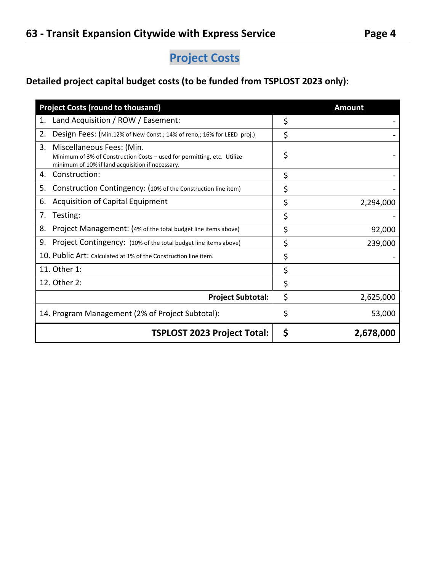# **Project Costs**

## **Detailed project capital budget costs (to be funded from TSPLOST 2023 only):**

| <b>Project Costs (round to thousand)</b>                                                                                                                       | <b>Amount</b>   |
|----------------------------------------------------------------------------------------------------------------------------------------------------------------|-----------------|
| Land Acquisition / ROW / Easement:<br>1.                                                                                                                       | \$              |
| 2.<br>Design Fees: (Min.12% of New Const.; 14% of reno,; 16% for LEED proj.)                                                                                   | \$              |
| 3.<br>Miscellaneous Fees: (Min.<br>Minimum of 3% of Construction Costs - used for permitting, etc. Utilize<br>minimum of 10% if land acquisition if necessary. | \$              |
| Construction:<br>4.                                                                                                                                            | \$              |
| 5.<br>Construction Contingency: (10% of the Construction line item)                                                                                            | \$              |
| <b>Acquisition of Capital Equipment</b><br>6.                                                                                                                  | \$<br>2,294,000 |
| Testing:<br>7.                                                                                                                                                 | \$              |
| 8.<br>Project Management: (4% of the total budget line items above)                                                                                            | \$<br>92,000    |
| 9.<br>Project Contingency: (10% of the total budget line items above)                                                                                          | \$<br>239,000   |
| 10. Public Art: Calculated at 1% of the Construction line item.                                                                                                | \$              |
| 11. Other 1:                                                                                                                                                   | \$              |
| 12. Other 2:                                                                                                                                                   | \$              |
| <b>Project Subtotal:</b>                                                                                                                                       | \$<br>2,625,000 |
| 14. Program Management (2% of Project Subtotal):                                                                                                               | \$<br>53,000    |
| <b>TSPLOST 2023 Project Total:</b>                                                                                                                             | \$<br>2,678,000 |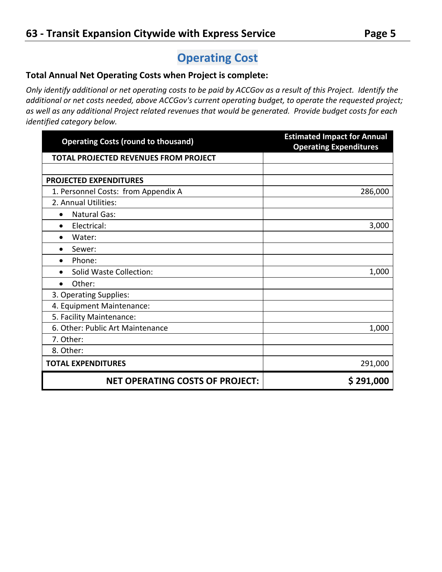# **Operating Cost**

## **Total Annual Net Operating Costs when Project is complete:**

*Only identify additional or net operating costs to be paid by ACCGov as a result of this Project. Identify the additional or net costs needed, above ACCGov's current operating budget, to operate the requested project; as well as any additional Project related revenues that would be generated. Provide budget costs for each identified category below.* 

| <b>Operating Costs (round to thousand)</b>   | <b>Estimated Impact for Annual</b><br><b>Operating Expenditures</b> |
|----------------------------------------------|---------------------------------------------------------------------|
| <b>TOTAL PROJECTED REVENUES FROM PROJECT</b> |                                                                     |
|                                              |                                                                     |
| <b>PROJECTED EXPENDITURES</b>                |                                                                     |
| 1. Personnel Costs: from Appendix A          | 286,000                                                             |
| 2. Annual Utilities:                         |                                                                     |
| <b>Natural Gas:</b><br>$\bullet$             |                                                                     |
| Electrical:<br>$\bullet$                     | 3,000                                                               |
| Water:<br>$\bullet$                          |                                                                     |
| Sewer:<br>$\bullet$                          |                                                                     |
| Phone:<br>$\bullet$                          |                                                                     |
| Solid Waste Collection:<br>$\bullet$         | 1,000                                                               |
| Other:<br>$\bullet$                          |                                                                     |
| 3. Operating Supplies:                       |                                                                     |
| 4. Equipment Maintenance:                    |                                                                     |
| 5. Facility Maintenance:                     |                                                                     |
| 6. Other: Public Art Maintenance             | 1,000                                                               |
| 7. Other:                                    |                                                                     |
| 8. Other:                                    |                                                                     |
| <b>TOTAL EXPENDITURES</b>                    | 291,000                                                             |
| <b>NET OPERATING COSTS OF PROJECT:</b>       | \$291,000                                                           |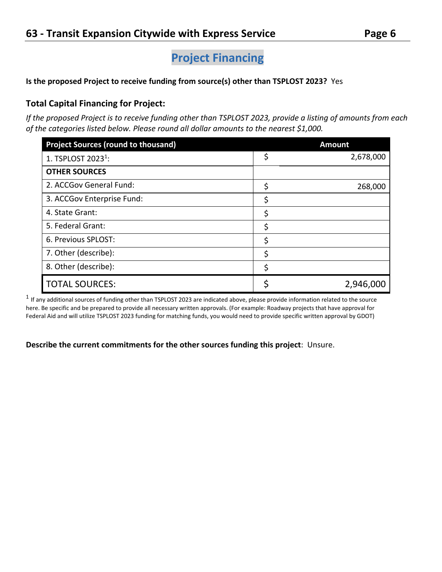## **Project Financing**

**Is the proposed Project to receive funding from source(s) other than TSPLOST 2023?** Yes

## **Total Capital Financing for Project:**

*If the proposed Project is to receive funding other than TSPLOST 2023, provide a listing of amounts from each of the categories listed below. Please round all dollar amounts to the nearest \$1,000.*

| <b>Project Sources (round to thousand)</b> | <b>Amount</b>   |
|--------------------------------------------|-----------------|
| 1. TSPLOST 2023 <sup>1</sup> :             | \$<br>2,678,000 |
| <b>OTHER SOURCES</b>                       |                 |
| 2. ACCGov General Fund:                    | \$<br>268,000   |
| 3. ACCGov Enterprise Fund:                 | \$              |
| 4. State Grant:                            | \$              |
| 5. Federal Grant:                          | \$              |
| 6. Previous SPLOST:                        | \$              |
| 7. Other (describe):                       | \$              |
| 8. Other (describe):                       | \$              |
| <b>TOTAL SOURCES:</b>                      | 2,946,000       |

 $^1$  If any additional sources of funding other than TSPLOST 2023 are indicated above, please provide information related to the source here. Be specific and be prepared to provide all necessary written approvals. (For example: Roadway projects that have approval for Federal Aid and will utilize TSPLOST 2023 funding for matching funds, you would need to provide specific written approval by GDOT)

**Describe the current commitments for the other sources funding this project**: Unsure.